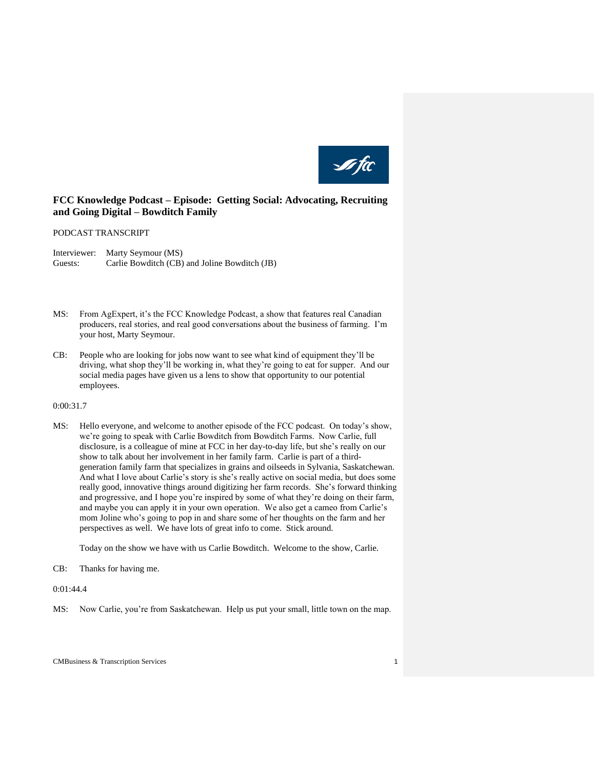

# **FCC Knowledge Podcast – Episode: Getting Social: Advocating, Recruiting and Going Digital – Bowditch Family**

#### PODCAST TRANSCRIPT

Interviewer: Marty Seymour (MS) Guests: Carlie Bowditch (CB) and Joline Bowditch (JB)

- MS: From AgExpert, it's the FCC Knowledge Podcast, a show that features real Canadian producers, real stories, and real good conversations about the business of farming. I'm your host, Marty Seymour.
- CB: People who are looking for jobs now want to see what kind of equipment they'll be driving, what shop they'll be working in, what they're going to eat for supper. And our social media pages have given us a lens to show that opportunity to our potential employees.

### 0:00:31.7

MS: Hello everyone, and welcome to another episode of the FCC podcast. On today's show, we're going to speak with Carlie Bowditch from Bowditch Farms. Now Carlie, full disclosure, is a colleague of mine at FCC in her day-to-day life, but she's really on our show to talk about her involvement in her family farm. Carlie is part of a thirdgeneration family farm that specializes in grains and oilseeds in Sylvania, Saskatchewan. And what I love about Carlie's story is she's really active on social media, but does some really good, innovative things around digitizing her farm records. She's forward thinking and progressive, and I hope you're inspired by some of what they're doing on their farm, and maybe you can apply it in your own operation. We also get a cameo from Carlie's mom Joline who's going to pop in and share some of her thoughts on the farm and her perspectives as well. We have lots of great info to come. Stick around.

Today on the show we have with us Carlie Bowditch. Welcome to the show, Carlie.

CB: Thanks for having me.

0:01:44.4

MS: Now Carlie, you're from Saskatchewan. Help us put your small, little town on the map.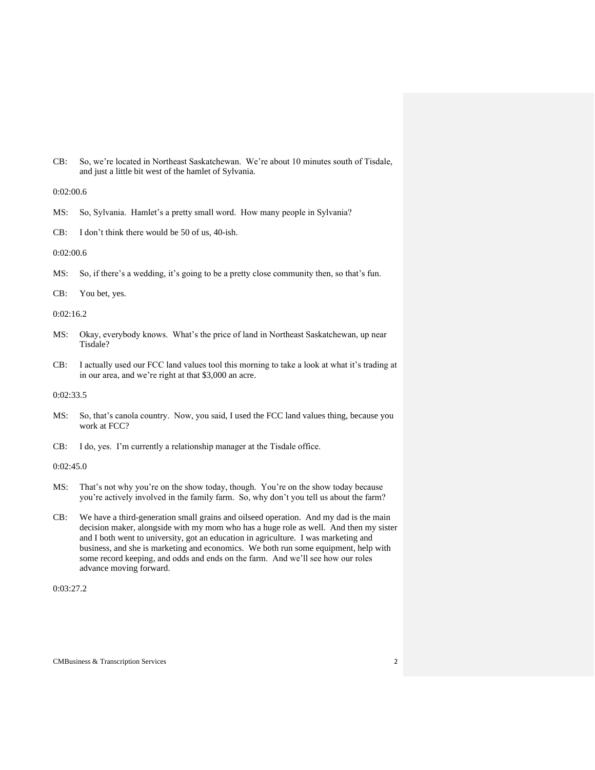CB: So, we're located in Northeast Saskatchewan. We're about 10 minutes south of Tisdale, and just a little bit west of the hamlet of Sylvania.

### 0:02:00.6

- MS: So, Sylvania. Hamlet's a pretty small word. How many people in Sylvania?
- CB: I don't think there would be 50 of us, 40-ish.

## 0:02:00.6

MS: So, if there's a wedding, it's going to be a pretty close community then, so that's fun.

```
CB: You bet, yes.
```
### 0:02:16.2

- MS: Okay, everybody knows. What's the price of land in Northeast Saskatchewan, up near Tisdale?
- CB: I actually used our FCC land values tool this morning to take a look at what it's trading at in our area, and we're right at that \$3,000 an acre.

### 0:02:33.5

- MS: So, that's canola country. Now, you said, I used the FCC land values thing, because you work at FCC?
- CB: I do, yes. I'm currently a relationship manager at the Tisdale office.

#### 0:02:45.0

- MS: That's not why you're on the show today, though. You're on the show today because you're actively involved in the family farm. So, why don't you tell us about the farm?
- CB: We have a third-generation small grains and oilseed operation. And my dad is the main decision maker, alongside with my mom who has a huge role as well. And then my sister and I both went to university, got an education in agriculture. I was marketing and business, and she is marketing and economics. We both run some equipment, help with some record keeping, and odds and ends on the farm. And we'll see how our roles advance moving forward.

## 0:03:27.2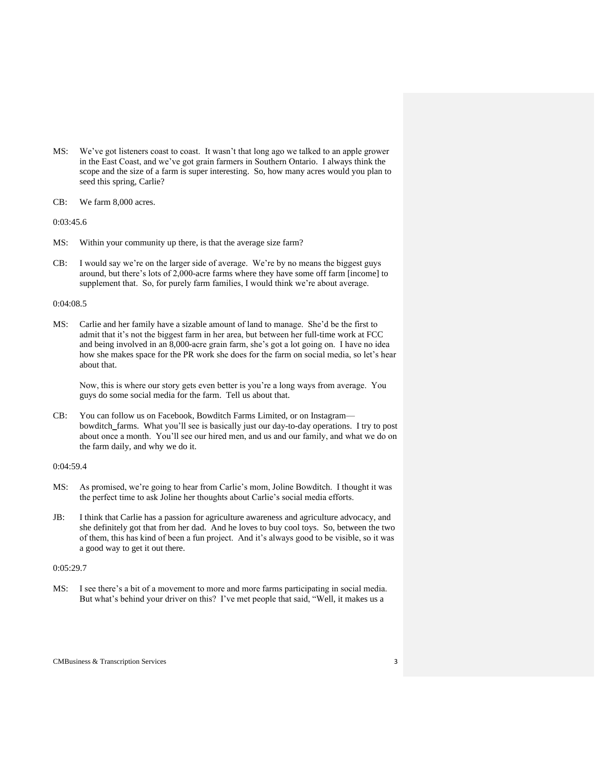- MS: We've got listeners coast to coast. It wasn't that long ago we talked to an apple grower in the East Coast, and we've got grain farmers in Southern Ontario. I always think the scope and the size of a farm is super interesting. So, how many acres would you plan to seed this spring, Carlie?
- CB: We farm 8,000 acres.

#### 0:03:45.6

- MS: Within your community up there, is that the average size farm?
- CB: I would say we're on the larger side of average. We're by no means the biggest guys around, but there's lots of 2,000-acre farms where they have some off farm [income] to supplement that. So, for purely farm families, I would think we're about average.

## 0:04:08.5

MS: Carlie and her family have a sizable amount of land to manage. She'd be the first to admit that it's not the biggest farm in her area, but between her full-time work at FCC and being involved in an 8,000-acre grain farm, she's got a lot going on. I have no idea how she makes space for the PR work she does for the farm on social media, so let's hear about that.

Now, this is where our story gets even better is you're a long ways from average. You guys do some social media for the farm. Tell us about that.

CB: You can follow us on Facebook, Bowditch Farms Limited, or on Instagram bowditch\_farms. What you'll see is basically just our day-to-day operations. I try to post about once a month. You'll see our hired men, and us and our family, and what we do on the farm daily, and why we do it.

#### 0:04:59.4

- MS: As promised, we're going to hear from Carlie's mom, Joline Bowditch. I thought it was the perfect time to ask Joline her thoughts about Carlie's social media efforts.
- JB: I think that Carlie has a passion for agriculture awareness and agriculture advocacy, and she definitely got that from her dad. And he loves to buy cool toys. So, between the two of them, this has kind of been a fun project. And it's always good to be visible, so it was a good way to get it out there.

#### 0:05:29.7

MS: I see there's a bit of a movement to more and more farms participating in social media. But what's behind your driver on this? I've met people that said, "Well, it makes us a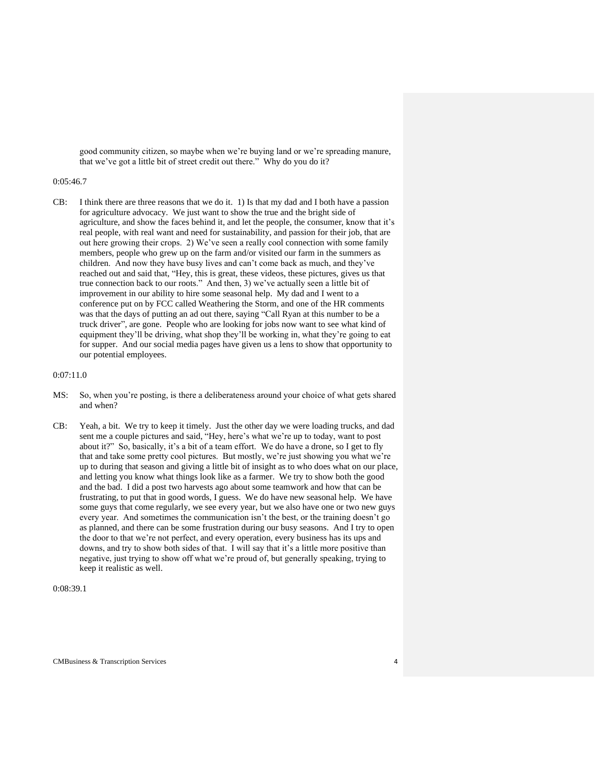good community citizen, so maybe when we're buying land or we're spreading manure, that we've got a little bit of street credit out there." Why do you do it?

#### 0:05:46.7

CB: I think there are three reasons that we do it. 1) Is that my dad and I both have a passion for agriculture advocacy. We just want to show the true and the bright side of agriculture, and show the faces behind it, and let the people, the consumer, know that it's real people, with real want and need for sustainability, and passion for their job, that are out here growing their crops. 2) We've seen a really cool connection with some family members, people who grew up on the farm and/or visited our farm in the summers as children. And now they have busy lives and can't come back as much, and they've reached out and said that, "Hey, this is great, these videos, these pictures, gives us that true connection back to our roots." And then, 3) we've actually seen a little bit of improvement in our ability to hire some seasonal help. My dad and I went to a conference put on by FCC called Weathering the Storm, and one of the HR comments was that the days of putting an ad out there, saying "Call Ryan at this number to be a truck driver", are gone. People who are looking for jobs now want to see what kind of equipment they'll be driving, what shop they'll be working in, what they're going to eat for supper. And our social media pages have given us a lens to show that opportunity to our potential employees.

## 0:07:11.0

- MS: So, when you're posting, is there a deliberateness around your choice of what gets shared and when?
- CB: Yeah, a bit. We try to keep it timely. Just the other day we were loading trucks, and dad sent me a couple pictures and said, "Hey, here's what we're up to today, want to post about it?" So, basically, it's a bit of a team effort. We do have a drone, so I get to fly that and take some pretty cool pictures. But mostly, we're just showing you what we're up to during that season and giving a little bit of insight as to who does what on our place, and letting you know what things look like as a farmer. We try to show both the good and the bad. I did a post two harvests ago about some teamwork and how that can be frustrating, to put that in good words, I guess. We do have new seasonal help. We have some guys that come regularly, we see every year, but we also have one or two new guys every year. And sometimes the communication isn't the best, or the training doesn't go as planned, and there can be some frustration during our busy seasons. And I try to open the door to that we're not perfect, and every operation, every business has its ups and downs, and try to show both sides of that. I will say that it's a little more positive than negative, just trying to show off what we're proud of, but generally speaking, trying to keep it realistic as well.

### 0:08:39.1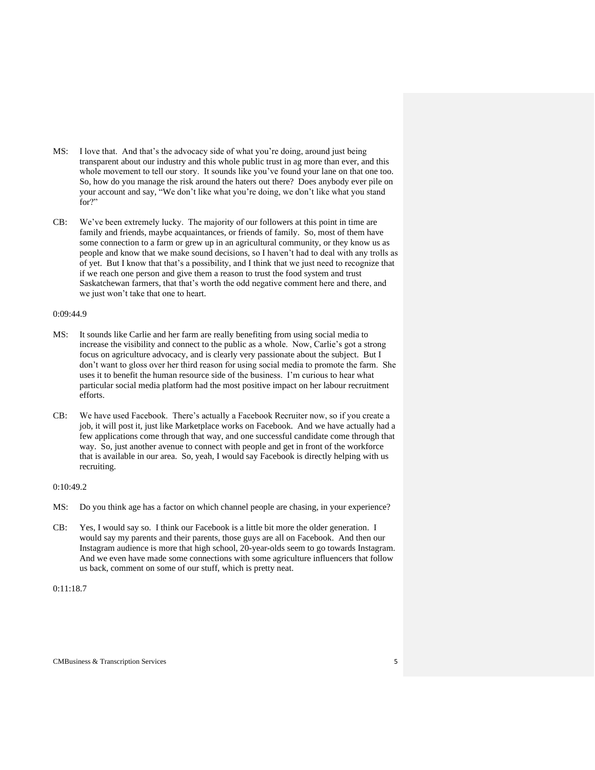- MS: I love that. And that's the advocacy side of what you're doing, around just being transparent about our industry and this whole public trust in ag more than ever, and this whole movement to tell our story. It sounds like you've found your lane on that one too. So, how do you manage the risk around the haters out there? Does anybody ever pile on your account and say, "We don't like what you're doing, we don't like what you stand for?"
- CB: We've been extremely lucky. The majority of our followers at this point in time are family and friends, maybe acquaintances, or friends of family. So, most of them have some connection to a farm or grew up in an agricultural community, or they know us as people and know that we make sound decisions, so I haven't had to deal with any trolls as of yet. But I know that that's a possibility, and I think that we just need to recognize that if we reach one person and give them a reason to trust the food system and trust Saskatchewan farmers, that that's worth the odd negative comment here and there, and we just won't take that one to heart.

#### 0:09:44.9

- MS: It sounds like Carlie and her farm are really benefiting from using social media to increase the visibility and connect to the public as a whole. Now, Carlie's got a strong focus on agriculture advocacy, and is clearly very passionate about the subject. But I don't want to gloss over her third reason for using social media to promote the farm. She uses it to benefit the human resource side of the business. I'm curious to hear what particular social media platform had the most positive impact on her labour recruitment efforts.
- CB: We have used Facebook. There's actually a Facebook Recruiter now, so if you create a job, it will post it, just like Marketplace works on Facebook. And we have actually had a few applications come through that way, and one successful candidate come through that way. So, just another avenue to connect with people and get in front of the workforce that is available in our area. So, yeah, I would say Facebook is directly helping with us recruiting.

## 0:10:49.2

- MS: Do you think age has a factor on which channel people are chasing, in your experience?
- CB: Yes, I would say so. I think our Facebook is a little bit more the older generation. I would say my parents and their parents, those guys are all on Facebook. And then our Instagram audience is more that high school, 20-year-olds seem to go towards Instagram. And we even have made some connections with some agriculture influencers that follow us back, comment on some of our stuff, which is pretty neat.

## 0:11:18.7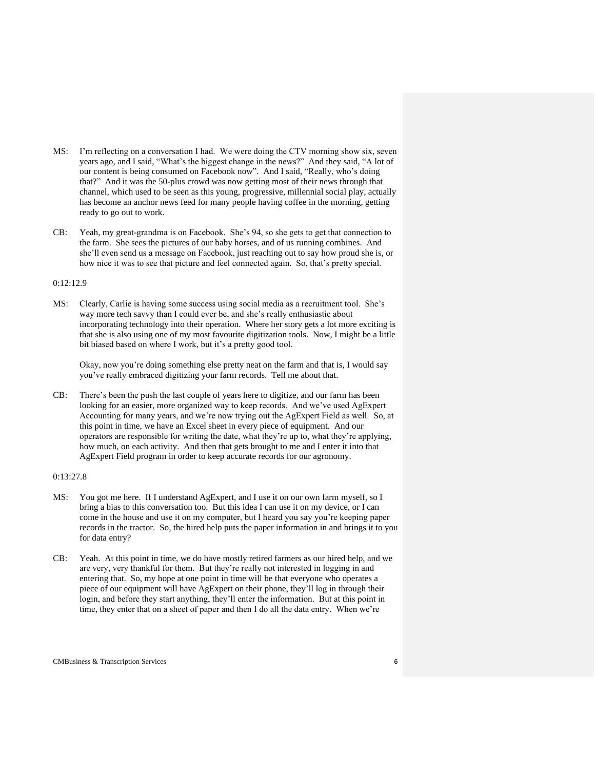- MS: I'm reflecting on a conversation I had. We were doing the CTV morning show six, seven years ago, and I said, "What's the biggest change in the news?" And they said, "A lot of our content is being consumed on Facebook now". And I said, "Really, who's doing that?" And it was the 50-plus crowd was now getting most of their news through that channel, which used to be seen as this young, progressive, millennial social play, actually has become an anchor news feed for many people having coffee in the morning, getting ready to go out to work.
- CB: Yeah, my great-grandma is on Facebook. She's 94, so she gets to get that connection to the farm. She sees the pictures of our baby horses, and of us running combines. And she'll even send us a message on Facebook, just reaching out to say how proud she is, or how nice it was to see that picture and feel connected again. So, that's pretty special.

#### 0:12:12.9

MS: Clearly, Carlie is having some success using social media as a recruitment tool. She's way more tech savvy than I could ever be, and she's really enthusiastic about incorporating technology into their operation. Where her story gets a lot more exciting is that she is also using one of my most favourite digitization tools. Now, I might be a little bit biased based on where I work, but it's a pretty good tool.

Okay, now you're doing something else pretty neat on the farm and that is, I would say you've really embraced digitizing your farm records. Tell me about that.

CB: There's been the push the last couple of years here to digitize, and our farm has been looking for an easier, more organized way to keep records. And we've used AgExpert Accounting for many years, and we're now trying out the AgExpert Field as well. So, at this point in time, we have an Excel sheet in every piece of equipment. And our operators are responsible for writing the date, what they're up to, what they're applying, how much, on each activity. And then that gets brought to me and I enter it into that AgExpert Field program in order to keep accurate records for our agronomy.

## 0:13:27.8

- MS: You got me here. If I understand AgExpert, and I use it on our own farm myself, so I bring a bias to this conversation too. But this idea I can use it on my device, or I can come in the house and use it on my computer, but I heard you say you're keeping paper records in the tractor. So, the hired help puts the paper information in and brings it to you for data entry?
- CB: Yeah. At this point in time, we do have mostly retired farmers as our hired help, and we are very, very thankful for them. But they're really not interested in logging in and entering that. So, my hope at one point in time will be that everyone who operates a piece of our equipment will have AgExpert on their phone, they'll log in through their login, and before they start anything, they'll enter the information. But at this point in time, they enter that on a sheet of paper and then I do all the data entry. When we're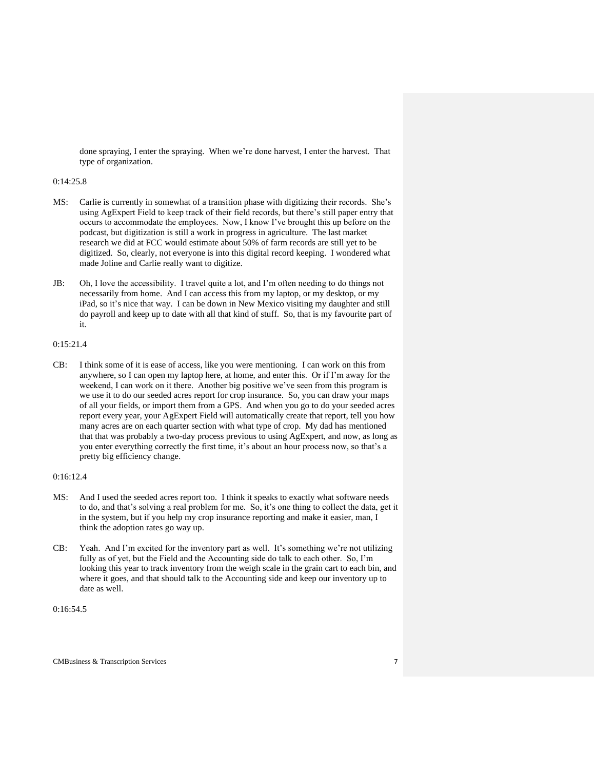done spraying, I enter the spraying. When we're done harvest, I enter the harvest. That type of organization.

#### 0:14:25.8

- MS: Carlie is currently in somewhat of a transition phase with digitizing their records. She's using AgExpert Field to keep track of their field records, but there's still paper entry that occurs to accommodate the employees. Now, I know I've brought this up before on the podcast, but digitization is still a work in progress in agriculture. The last market research we did at FCC would estimate about 50% of farm records are still yet to be digitized. So, clearly, not everyone is into this digital record keeping. I wondered what made Joline and Carlie really want to digitize.
- JB: Oh, I love the accessibility. I travel quite a lot, and I'm often needing to do things not necessarily from home. And I can access this from my laptop, or my desktop, or my iPad, so it's nice that way. I can be down in New Mexico visiting my daughter and still do payroll and keep up to date with all that kind of stuff. So, that is my favourite part of it.

### 0:15:21.4

CB: I think some of it is ease of access, like you were mentioning. I can work on this from anywhere, so I can open my laptop here, at home, and enter this. Or if I'm away for the weekend, I can work on it there. Another big positive we've seen from this program is we use it to do our seeded acres report for crop insurance. So, you can draw your maps of all your fields, or import them from a GPS. And when you go to do your seeded acres report every year, your AgExpert Field will automatically create that report, tell you how many acres are on each quarter section with what type of crop. My dad has mentioned that that was probably a two-day process previous to using AgExpert, and now, as long as you enter everything correctly the first time, it's about an hour process now, so that's a pretty big efficiency change.

## 0:16:12.4

- MS: And I used the seeded acres report too. I think it speaks to exactly what software needs to do, and that's solving a real problem for me. So, it's one thing to collect the data, get it in the system, but if you help my crop insurance reporting and make it easier, man, I think the adoption rates go way up.
- CB: Yeah. And I'm excited for the inventory part as well. It's something we're not utilizing fully as of yet, but the Field and the Accounting side do talk to each other. So, I'm looking this year to track inventory from the weigh scale in the grain cart to each bin, and where it goes, and that should talk to the Accounting side and keep our inventory up to date as well.

 $0:16:54.5$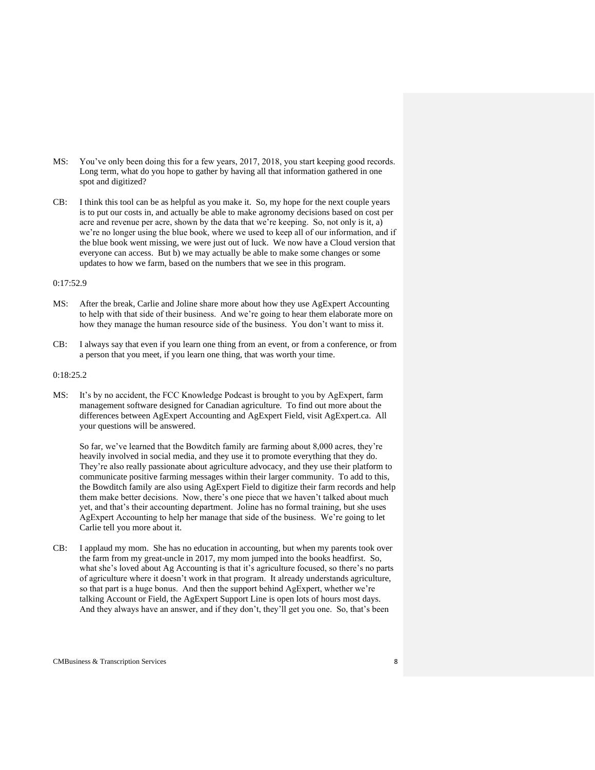- MS: You've only been doing this for a few years, 2017, 2018, you start keeping good records. Long term, what do you hope to gather by having all that information gathered in one spot and digitized?
- CB: I think this tool can be as helpful as you make it. So, my hope for the next couple years is to put our costs in, and actually be able to make agronomy decisions based on cost per acre and revenue per acre, shown by the data that we're keeping. So, not only is it, a) we're no longer using the blue book, where we used to keep all of our information, and if the blue book went missing, we were just out of luck. We now have a Cloud version that everyone can access. But b) we may actually be able to make some changes or some updates to how we farm, based on the numbers that we see in this program.

#### 0:17:52.9

- MS: After the break, Carlie and Joline share more about how they use AgExpert Accounting to help with that side of their business. And we're going to hear them elaborate more on how they manage the human resource side of the business. You don't want to miss it.
- CB: I always say that even if you learn one thing from an event, or from a conference, or from a person that you meet, if you learn one thing, that was worth your time.

## 0:18:25.2

MS: It's by no accident, the FCC Knowledge Podcast is brought to you by AgExpert, farm management software designed for Canadian agriculture. To find out more about the differences between AgExpert Accounting and AgExpert Field, visit AgExpert.ca. All your questions will be answered.

So far, we've learned that the Bowditch family are farming about 8,000 acres, they're heavily involved in social media, and they use it to promote everything that they do. They're also really passionate about agriculture advocacy, and they use their platform to communicate positive farming messages within their larger community. To add to this, the Bowditch family are also using AgExpert Field to digitize their farm records and help them make better decisions. Now, there's one piece that we haven't talked about much yet, and that's their accounting department. Joline has no formal training, but she uses AgExpert Accounting to help her manage that side of the business. We're going to let Carlie tell you more about it.

CB: I applaud my mom. She has no education in accounting, but when my parents took over the farm from my great-uncle in 2017, my mom jumped into the books headfirst. So, what she's loved about Ag Accounting is that it's agriculture focused, so there's no parts of agriculture where it doesn't work in that program. It already understands agriculture, so that part is a huge bonus. And then the support behind AgExpert, whether we're talking Account or Field, the AgExpert Support Line is open lots of hours most days. And they always have an answer, and if they don't, they'll get you one. So, that's been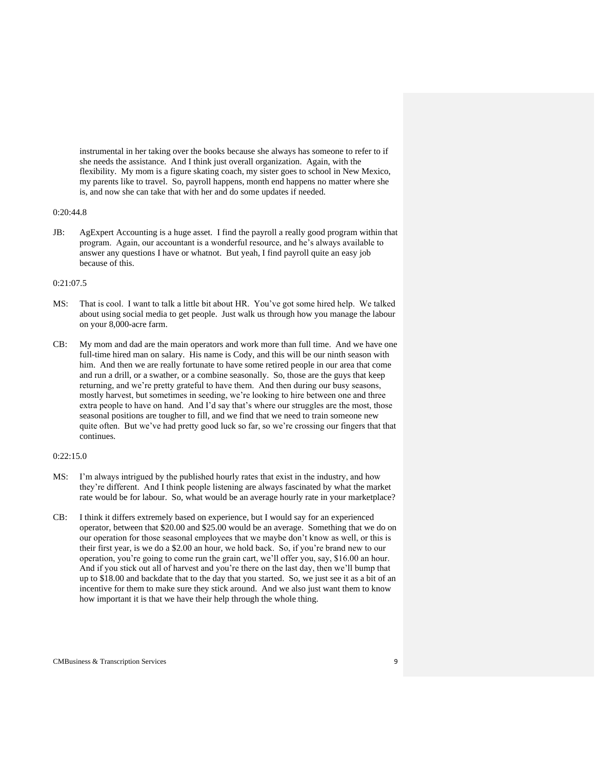instrumental in her taking over the books because she always has someone to refer to if she needs the assistance. And I think just overall organization. Again, with the flexibility. My mom is a figure skating coach, my sister goes to school in New Mexico, my parents like to travel. So, payroll happens, month end happens no matter where she is, and now she can take that with her and do some updates if needed.

## 0:20:44.8

JB: AgExpert Accounting is a huge asset. I find the payroll a really good program within that program. Again, our accountant is a wonderful resource, and he's always available to answer any questions I have or whatnot. But yeah, I find payroll quite an easy job because of this.

## 0:21:07.5

- MS: That is cool. I want to talk a little bit about HR. You've got some hired help. We talked about using social media to get people. Just walk us through how you manage the labour on your 8,000-acre farm.
- CB: My mom and dad are the main operators and work more than full time. And we have one full-time hired man on salary. His name is Cody, and this will be our ninth season with him. And then we are really fortunate to have some retired people in our area that come and run a drill, or a swather, or a combine seasonally. So, those are the guys that keep returning, and we're pretty grateful to have them. And then during our busy seasons, mostly harvest, but sometimes in seeding, we're looking to hire between one and three extra people to have on hand. And I'd say that's where our struggles are the most, those seasonal positions are tougher to fill, and we find that we need to train someone new quite often. But we've had pretty good luck so far, so we're crossing our fingers that that continues.

### 0:22:15.0

- MS: I'm always intrigued by the published hourly rates that exist in the industry, and how they're different. And I think people listening are always fascinated by what the market rate would be for labour. So, what would be an average hourly rate in your marketplace?
- CB: I think it differs extremely based on experience, but I would say for an experienced operator, between that \$20.00 and \$25.00 would be an average. Something that we do on our operation for those seasonal employees that we maybe don't know as well, or this is their first year, is we do a \$2.00 an hour, we hold back. So, if you're brand new to our operation, you're going to come run the grain cart, we'll offer you, say, \$16.00 an hour. And if you stick out all of harvest and you're there on the last day, then we'll bump that up to \$18.00 and backdate that to the day that you started. So, we just see it as a bit of an incentive for them to make sure they stick around. And we also just want them to know how important it is that we have their help through the whole thing.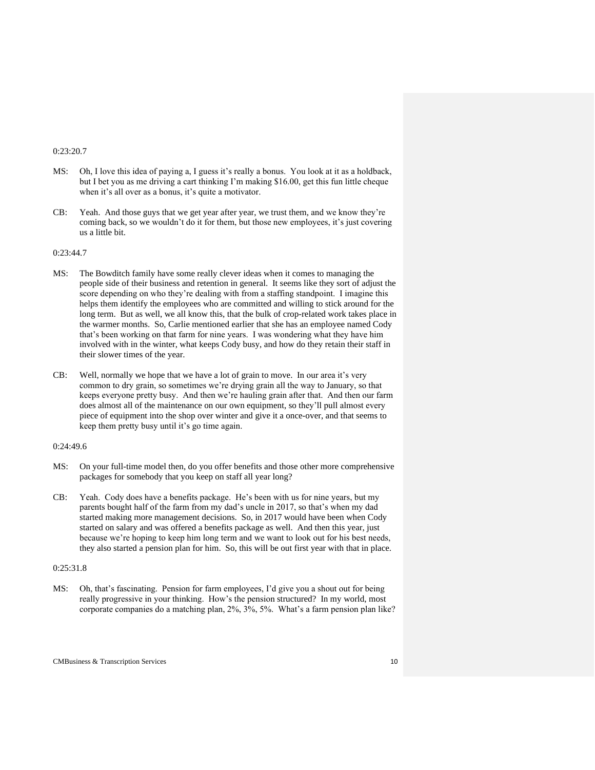#### 0:23:20.7

- MS: Oh, I love this idea of paying a, I guess it's really a bonus. You look at it as a holdback, but I bet you as me driving a cart thinking I'm making \$16.00, get this fun little cheque when it's all over as a bonus, it's quite a motivator.
- CB: Yeah. And those guys that we get year after year, we trust them, and we know they're coming back, so we wouldn't do it for them, but those new employees, it's just covering us a little bit.

### 0:23:44.7

- MS: The Bowditch family have some really clever ideas when it comes to managing the people side of their business and retention in general. It seems like they sort of adjust the score depending on who they're dealing with from a staffing standpoint. I imagine this helps them identify the employees who are committed and willing to stick around for the long term. But as well, we all know this, that the bulk of crop-related work takes place in the warmer months. So, Carlie mentioned earlier that she has an employee named Cody that's been working on that farm for nine years. I was wondering what they have him involved with in the winter, what keeps Cody busy, and how do they retain their staff in their slower times of the year.
- CB: Well, normally we hope that we have a lot of grain to move. In our area it's very common to dry grain, so sometimes we're drying grain all the way to January, so that keeps everyone pretty busy. And then we're hauling grain after that. And then our farm does almost all of the maintenance on our own equipment, so they'll pull almost every piece of equipment into the shop over winter and give it a once-over, and that seems to keep them pretty busy until it's go time again.

#### 0:24:49.6

- MS: On your full-time model then, do you offer benefits and those other more comprehensive packages for somebody that you keep on staff all year long?
- CB: Yeah. Cody does have a benefits package. He's been with us for nine years, but my parents bought half of the farm from my dad's uncle in 2017, so that's when my dad started making more management decisions. So, in 2017 would have been when Cody started on salary and was offered a benefits package as well. And then this year, just because we're hoping to keep him long term and we want to look out for his best needs, they also started a pension plan for him. So, this will be out first year with that in place.

### 0:25:31.8

MS: Oh, that's fascinating. Pension for farm employees, I'd give you a shout out for being really progressive in your thinking. How's the pension structured? In my world, most corporate companies do a matching plan, 2%, 3%, 5%. What's a farm pension plan like?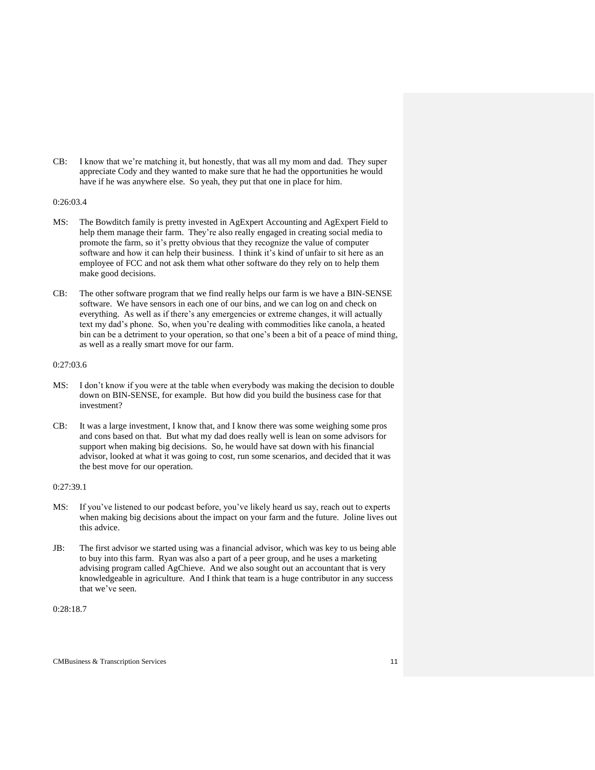CB: I know that we're matching it, but honestly, that was all my mom and dad. They super appreciate Cody and they wanted to make sure that he had the opportunities he would have if he was anywhere else. So yeah, they put that one in place for him.

### 0:26:03.4

- MS: The Bowditch family is pretty invested in AgExpert Accounting and AgExpert Field to help them manage their farm. They're also really engaged in creating social media to promote the farm, so it's pretty obvious that they recognize the value of computer software and how it can help their business. I think it's kind of unfair to sit here as an employee of FCC and not ask them what other software do they rely on to help them make good decisions.
- CB: The other software program that we find really helps our farm is we have a BIN-SENSE software. We have sensors in each one of our bins, and we can log on and check on everything. As well as if there's any emergencies or extreme changes, it will actually text my dad's phone. So, when you're dealing with commodities like canola, a heated bin can be a detriment to your operation, so that one's been a bit of a peace of mind thing, as well as a really smart move for our farm.

### 0:27:03.6

- MS: I don't know if you were at the table when everybody was making the decision to double down on BIN-SENSE, for example. But how did you build the business case for that investment?
- CB: It was a large investment, I know that, and I know there was some weighing some pros and cons based on that. But what my dad does really well is lean on some advisors for support when making big decisions. So, he would have sat down with his financial advisor, looked at what it was going to cost, run some scenarios, and decided that it was the best move for our operation.

#### 0:27:39.1

- MS: If you've listened to our podcast before, you've likely heard us say, reach out to experts when making big decisions about the impact on your farm and the future. Joline lives out this advice.
- JB: The first advisor we started using was a financial advisor, which was key to us being able to buy into this farm. Ryan was also a part of a peer group, and he uses a marketing advising program called AgChieve. And we also sought out an accountant that is very knowledgeable in agriculture. And I think that team is a huge contributor in any success that we've seen.

0:28:18.7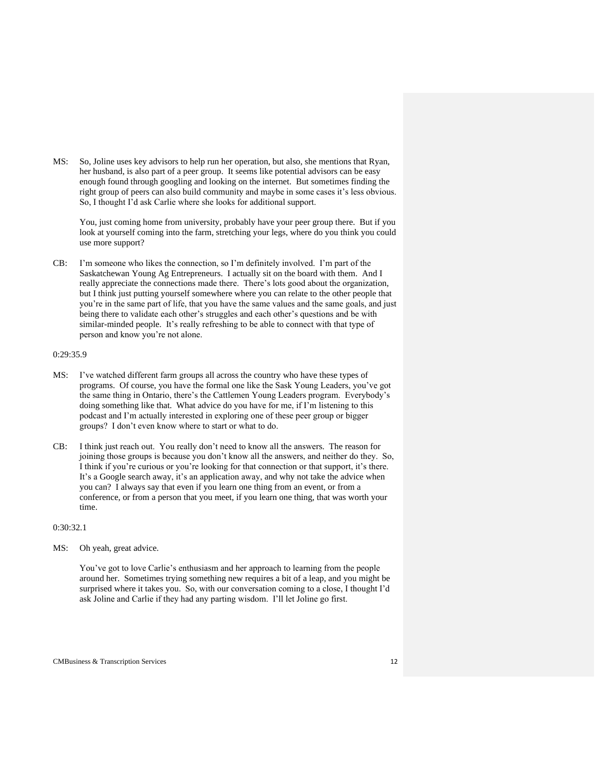MS: So, Joline uses key advisors to help run her operation, but also, she mentions that Ryan, her husband, is also part of a peer group. It seems like potential advisors can be easy enough found through googling and looking on the internet. But sometimes finding the right group of peers can also build community and maybe in some cases it's less obvious. So, I thought I'd ask Carlie where she looks for additional support.

You, just coming home from university, probably have your peer group there. But if you look at yourself coming into the farm, stretching your legs, where do you think you could use more support?

CB: I'm someone who likes the connection, so I'm definitely involved. I'm part of the Saskatchewan Young Ag Entrepreneurs. I actually sit on the board with them. And I really appreciate the connections made there. There's lots good about the organization, but I think just putting yourself somewhere where you can relate to the other people that you're in the same part of life, that you have the same values and the same goals, and just being there to validate each other's struggles and each other's questions and be with similar-minded people. It's really refreshing to be able to connect with that type of person and know you're not alone.

#### 0:29:35.9

- MS: I've watched different farm groups all across the country who have these types of programs. Of course, you have the formal one like the Sask Young Leaders, you've got the same thing in Ontario, there's the Cattlemen Young Leaders program. Everybody's doing something like that. What advice do you have for me, if I'm listening to this podcast and I'm actually interested in exploring one of these peer group or bigger groups? I don't even know where to start or what to do.
- CB: I think just reach out. You really don't need to know all the answers. The reason for joining those groups is because you don't know all the answers, and neither do they. So, I think if you're curious or you're looking for that connection or that support, it's there. It's a Google search away, it's an application away, and why not take the advice when you can? I always say that even if you learn one thing from an event, or from a conference, or from a person that you meet, if you learn one thing, that was worth your time.

## 0:30:32.1

MS: Oh yeah, great advice.

You've got to love Carlie's enthusiasm and her approach to learning from the people around her. Sometimes trying something new requires a bit of a leap, and you might be surprised where it takes you. So, with our conversation coming to a close, I thought I'd ask Joline and Carlie if they had any parting wisdom. I'll let Joline go first.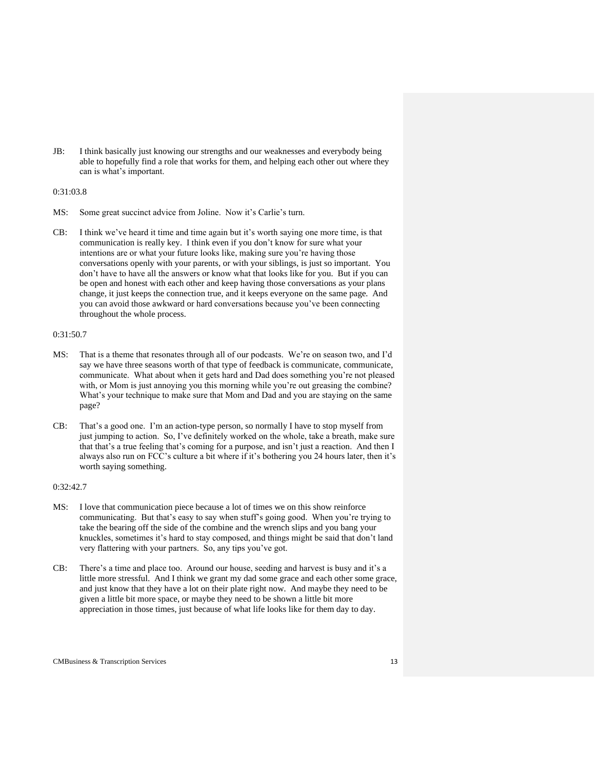JB: I think basically just knowing our strengths and our weaknesses and everybody being able to hopefully find a role that works for them, and helping each other out where they can is what's important.

### 0:31:03.8

- MS: Some great succinct advice from Joline. Now it's Carlie's turn.
- CB: I think we've heard it time and time again but it's worth saying one more time, is that communication is really key. I think even if you don't know for sure what your intentions are or what your future looks like, making sure you're having those conversations openly with your parents, or with your siblings, is just so important. You don't have to have all the answers or know what that looks like for you. But if you can be open and honest with each other and keep having those conversations as your plans change, it just keeps the connection true, and it keeps everyone on the same page. And you can avoid those awkward or hard conversations because you've been connecting throughout the whole process.

### 0:31:50.7

- MS: That is a theme that resonates through all of our podcasts. We're on season two, and I'd say we have three seasons worth of that type of feedback is communicate, communicate, communicate. What about when it gets hard and Dad does something you're not pleased with, or Mom is just annoying you this morning while you're out greasing the combine? What's your technique to make sure that Mom and Dad and you are staying on the same page?
- CB: That's a good one. I'm an action-type person, so normally I have to stop myself from just jumping to action. So, I've definitely worked on the whole, take a breath, make sure that that's a true feeling that's coming for a purpose, and isn't just a reaction. And then I always also run on FCC's culture a bit where if it's bothering you 24 hours later, then it's worth saying something.

## 0:32:42.7

- MS: I love that communication piece because a lot of times we on this show reinforce communicating. But that's easy to say when stuff's going good. When you're trying to take the bearing off the side of the combine and the wrench slips and you bang your knuckles, sometimes it's hard to stay composed, and things might be said that don't land very flattering with your partners. So, any tips you've got.
- CB: There's a time and place too. Around our house, seeding and harvest is busy and it's a little more stressful. And I think we grant my dad some grace and each other some grace, and just know that they have a lot on their plate right now. And maybe they need to be given a little bit more space, or maybe they need to be shown a little bit more appreciation in those times, just because of what life looks like for them day to day.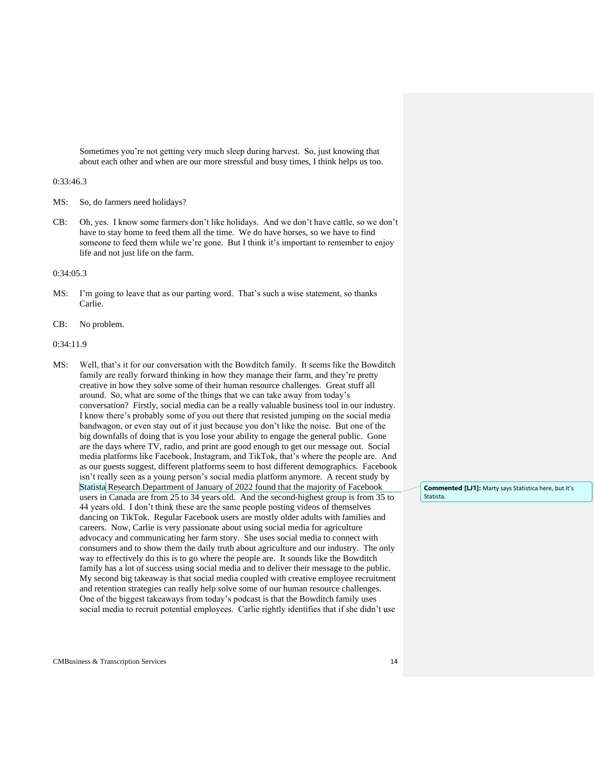Sometimes you're not getting very much sleep during harvest. So, just knowing that about each other and when are our more stressful and busy times, I think helps us too.

#### 0:33:46.3

- MS: So, do farmers need holidays?
- CB: Oh, yes. I know some farmers don't like holidays. And we don't have cattle, so we don't have to stay home to feed them all the time. We do have horses, so we have to find someone to feed them while we're gone. But I think it's important to remember to enjoy life and not just life on the farm.

#### 0:34:05.3

- MS: I'm going to leave that as our parting word. That's such a wise statement, so thanks Carlie.
- CB: No problem.

#### 0:34:11.9

MS: Well, that's it for our conversation with the Bowditch family. It seems like the Bowditch family are really forward thinking in how they manage their farm, and they're pretty creative in how they solve some of their human resource challenges. Great stuff all around. So, what are some of the things that we can take away from today's conversation? Firstly, social media can be a really valuable business tool in our industry. I know there's probably some of you out there that resisted jumping on the social media bandwagon, or even stay out of it just because you don't like the noise. But one of the big downfalls of doing that is you lose your ability to engage the general public. Gone are the days where TV, radio, and print are good enough to get our message out. Social media platforms like Facebook, Instagram, and TikTok, that's where the people are. And as our guests suggest, different platforms seem to host different demographics. Facebook isn't really seen as a young person's social media platform anymore. A recent study by Statista Research Department of January of 2022 found that the majority of Facebook users in Canada are from 25 to 34 years old. And the second-highest group is from 35 to 44 years old. I don't think these are the same people posting videos of themselves dancing on TikTok. Regular Facebook users are mostly older adults with families and careers. Now, Carlie is very passionate about using social media for agriculture advocacy and communicating her farm story. She uses social media to connect with consumers and to show them the daily truth about agriculture and our industry. The only way to effectively do this is to go where the people are. It sounds like the Bowditch family has a lot of success using social media and to deliver their message to the public. My second big takeaway is that social media coupled with creative employee recruitment and retention strategies can really help solve some of our human resource challenges. One of the biggest takeaways from today's podcast is that the Bowditch family uses social media to recruit potential employees. Carlie rightly identifies that if she didn't use

**Commented [LJ1]:** Marty says Statistica here, but it's Statista.